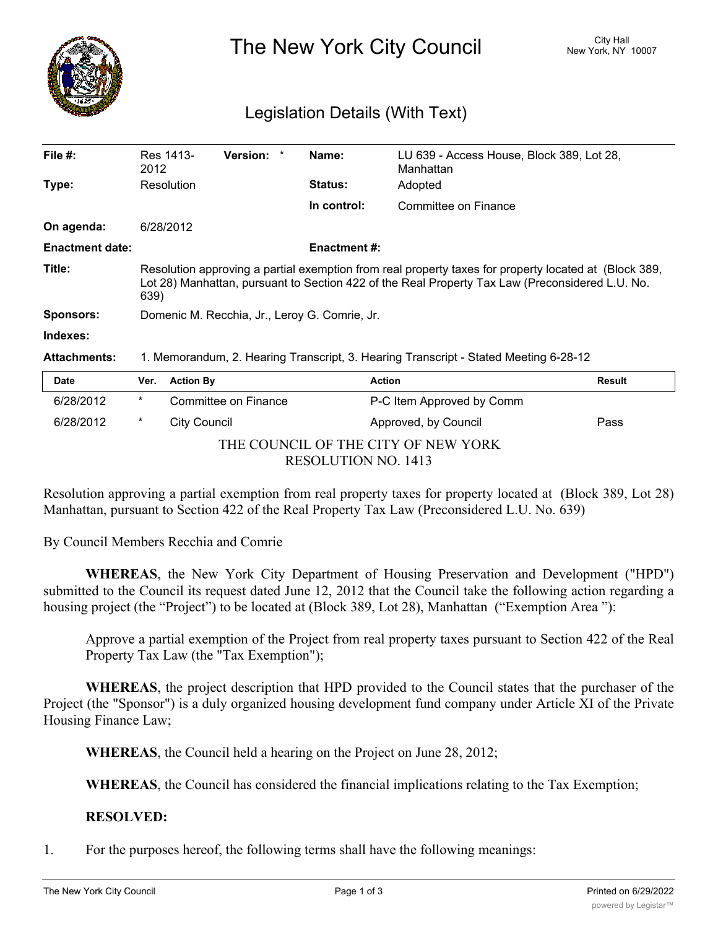

The New York City Council New York, NY 10007

## Legislation Details (With Text)

| File $#$ :             | Res 1413-<br>2012                                                                                                                                                                                                | <b>Version:</b> | Name:          | Manhattan            | LU 639 - Access House, Block 389, Lot 28, |  |  |
|------------------------|------------------------------------------------------------------------------------------------------------------------------------------------------------------------------------------------------------------|-----------------|----------------|----------------------|-------------------------------------------|--|--|
| Type:                  | Resolution                                                                                                                                                                                                       |                 | <b>Status:</b> | Adopted              |                                           |  |  |
|                        |                                                                                                                                                                                                                  |                 | In control:    | Committee on Finance |                                           |  |  |
| On agenda:             | 6/28/2012                                                                                                                                                                                                        |                 |                |                      |                                           |  |  |
| <b>Enactment date:</b> | <b>Enactment #:</b>                                                                                                                                                                                              |                 |                |                      |                                           |  |  |
| Title:                 | Resolution approving a partial exemption from real property taxes for property located at (Block 389,<br>Lot 28) Manhattan, pursuant to Section 422 of the Real Property Tax Law (Preconsidered L.U. No.<br>639) |                 |                |                      |                                           |  |  |
| <b>Sponsors:</b>       | Domenic M. Recchia, Jr., Leroy G. Comrie, Jr.                                                                                                                                                                    |                 |                |                      |                                           |  |  |
| Indexes:               |                                                                                                                                                                                                                  |                 |                |                      |                                           |  |  |
| <b>Attachments:</b>    | 1. Memorandum, 2. Hearing Transcript, 3. Hearing Transcript - Stated Meeting 6-28-12                                                                                                                             |                 |                |                      |                                           |  |  |
| Date                   | <b>Action By</b><br>Ver.                                                                                                                                                                                         |                 |                | <b>Action</b>        | <b>Result</b>                             |  |  |

| Date                                |        | Ver. Action By       | Action                    | Result |  |  |
|-------------------------------------|--------|----------------------|---------------------------|--------|--|--|
| 6/28/2012                           | *      | Committee on Finance | P-C Item Approved by Comm |        |  |  |
| 6/28/2012                           | $\ast$ | City Council         | Approved, by Council      | Pass   |  |  |
| THE COUNCIL OF THE CITY OF NEW YORK |        |                      |                           |        |  |  |
| RESOLUTION NO. 1413                 |        |                      |                           |        |  |  |

Resolution approving a partial exemption from real property taxes for property located at (Block 389, Lot 28) Manhattan, pursuant to Section 422 of the Real Property Tax Law (Preconsidered L.U. No. 639)

By Council Members Recchia and Comrie

**WHEREAS**, the New York City Department of Housing Preservation and Development ("HPD") submitted to the Council its request dated June 12, 2012 that the Council take the following action regarding a housing project (the "Project") to be located at (Block 389, Lot 28), Manhattan ("Exemption Area"):

Approve a partial exemption of the Project from real property taxes pursuant to Section 422 of the Real Property Tax Law (the "Tax Exemption");

**WHEREAS**, the project description that HPD provided to the Council states that the purchaser of the Project (the "Sponsor") is a duly organized housing development fund company under Article XI of the Private Housing Finance Law;

**WHEREAS**, the Council held a hearing on the Project on June 28, 2012;

**WHEREAS**, the Council has considered the financial implications relating to the Tax Exemption;

## **RESOLVED:**

1. For the purposes hereof, the following terms shall have the following meanings: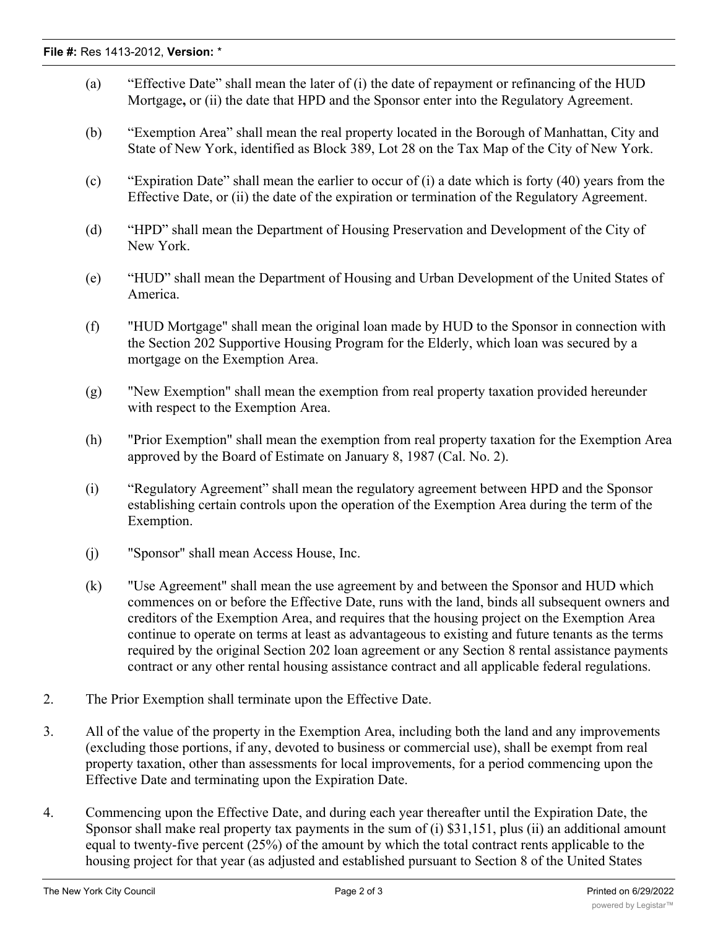- (a) "Effective Date" shall mean the later of (i) the date of repayment or refinancing of the HUD Mortgage**,** or (ii) the date that HPD and the Sponsor enter into the Regulatory Agreement.
- (b) "Exemption Area" shall mean the real property located in the Borough of Manhattan, City and State of New York, identified as Block 389, Lot 28 on the Tax Map of the City of New York.
- (c) "Expiration Date" shall mean the earlier to occur of (i) a date which is forty (40) years from the Effective Date, or (ii) the date of the expiration or termination of the Regulatory Agreement.
- (d) "HPD" shall mean the Department of Housing Preservation and Development of the City of New York.
- (e) "HUD" shall mean the Department of Housing and Urban Development of the United States of America.
- (f) "HUD Mortgage" shall mean the original loan made by HUD to the Sponsor in connection with the Section 202 Supportive Housing Program for the Elderly, which loan was secured by a mortgage on the Exemption Area.
- (g) "New Exemption" shall mean the exemption from real property taxation provided hereunder with respect to the Exemption Area.
- (h) "Prior Exemption" shall mean the exemption from real property taxation for the Exemption Area approved by the Board of Estimate on January 8, 1987 (Cal. No. 2).
- (i) "Regulatory Agreement" shall mean the regulatory agreement between HPD and the Sponsor establishing certain controls upon the operation of the Exemption Area during the term of the Exemption.
- (j) "Sponsor" shall mean Access House, Inc.
- (k) "Use Agreement" shall mean the use agreement by and between the Sponsor and HUD which commences on or before the Effective Date, runs with the land, binds all subsequent owners and creditors of the Exemption Area, and requires that the housing project on the Exemption Area continue to operate on terms at least as advantageous to existing and future tenants as the terms required by the original Section 202 loan agreement or any Section 8 rental assistance payments contract or any other rental housing assistance contract and all applicable federal regulations.
- 2. The Prior Exemption shall terminate upon the Effective Date.
- 3. All of the value of the property in the Exemption Area, including both the land and any improvements (excluding those portions, if any, devoted to business or commercial use), shall be exempt from real property taxation, other than assessments for local improvements, for a period commencing upon the Effective Date and terminating upon the Expiration Date.
- 4. Commencing upon the Effective Date, and during each year thereafter until the Expiration Date, the Sponsor shall make real property tax payments in the sum of (i) \$31,151, plus (ii) an additional amount equal to twenty-five percent (25%) of the amount by which the total contract rents applicable to the housing project for that year (as adjusted and established pursuant to Section 8 of the United States